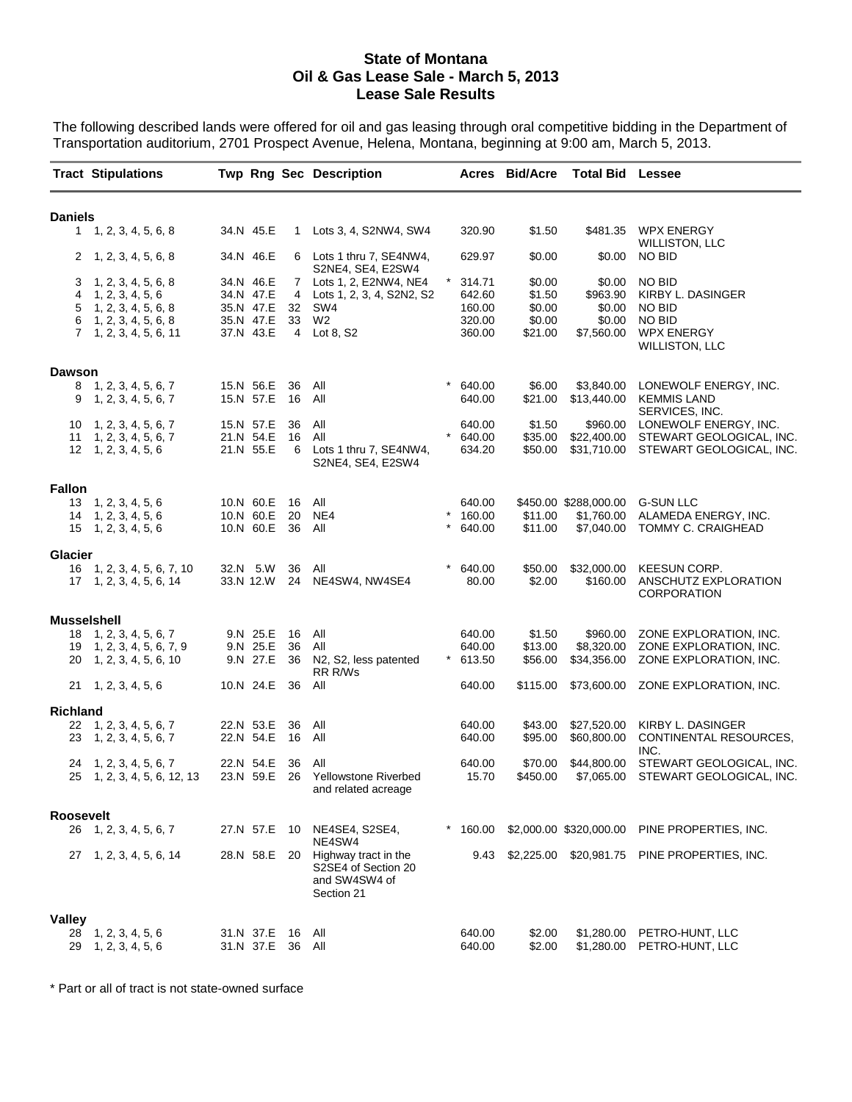## **State of Montana Oil & Gas Lease Sale - March 5, 2013 Lease Sale Results**

The following described lands were offered for oil and gas leasing through oral competitive bidding in the Department of Transportation auditorium, 2701 Prospect Avenue, Helena, Montana, beginning at 9:00 am, March 5, 2013.

|                    | <b>Tract Stipulations</b>                                                                                        |  |                                                               |                         | <b>Twp Rng Sec Description</b>                                                                |            |                                                | <b>Acres Bid/Acre</b>                           | <b>Total Bid Lessee</b>                              |                                                                                                                |
|--------------------|------------------------------------------------------------------------------------------------------------------|--|---------------------------------------------------------------|-------------------------|-----------------------------------------------------------------------------------------------|------------|------------------------------------------------|-------------------------------------------------|------------------------------------------------------|----------------------------------------------------------------------------------------------------------------|
| <b>Daniels</b>     |                                                                                                                  |  |                                                               |                         |                                                                                               |            |                                                |                                                 |                                                      |                                                                                                                |
|                    | 1, 2, 3, 4, 5, 6, 8                                                                                              |  | 34.N 45.E                                                     | 1                       | Lots 3, 4, S2NW4, SW4                                                                         |            | 320.90                                         | \$1.50                                          | \$481.35                                             | <b>WPX ENERGY</b>                                                                                              |
| 2                  | 1, 2, 3, 4, 5, 6, 8                                                                                              |  | 34.N 46.E                                                     |                         | 6 Lots 1 thru 7, SE4NW4,<br>S2NE4, SE4, E2SW4                                                 |            | 629.97                                         | \$0.00                                          | \$0.00                                               | <b>WILLISTON, LLC</b><br>NO BID                                                                                |
| 3<br>4<br>5<br>6   | 1, 2, 3, 4, 5, 6, 8<br>1, 2, 3, 4, 5, 6<br>1, 2, 3, 4, 5, 6, 8<br>1, 2, 3, 4, 5, 6, 8<br>7, 1, 2, 3, 4, 5, 6, 11 |  | 34.N 46.E<br>34.N 47.E<br>35.N 47.E<br>35.N 47.E<br>37.N 43.E | $\mathbf{7}$<br>4<br>32 | Lots 1, 2, E2NW4, NE4<br>Lots 1, 2, 3, 4, S2N2, S2<br>SW4<br>33 W <sub>2</sub><br>4 Lot 8, S2 | $^\star$   | 314.71<br>642.60<br>160.00<br>320.00<br>360.00 | \$0.00<br>\$1.50<br>\$0.00<br>\$0.00<br>\$21.00 | \$0.00<br>\$963.90<br>\$0.00<br>\$0.00<br>\$7,560.00 | NO BID<br>KIRBY L. DASINGER<br>NO BID<br><b>NO BID</b><br><b>WPX ENERGY</b><br><b>WILLISTON, LLC</b>           |
| <b>Dawson</b>      |                                                                                                                  |  |                                                               |                         |                                                                                               |            |                                                |                                                 |                                                      |                                                                                                                |
| 9                  | 8, 1, 2, 3, 4, 5, 6, 7<br>1, 2, 3, 4, 5, 6, 7                                                                    |  | 15.N 56.E<br>15.N 57.E                                        | 36<br>16                | All<br>All                                                                                    | $\star$    | 640.00<br>640.00                               | \$6.00<br>\$21.00                               | \$3,840.00<br>\$13,440.00                            | LONEWOLF ENERGY, INC.<br><b>KEMMIS LAND</b><br>SERVICES, INC.                                                  |
| 10<br>11           | 1, 2, 3, 4, 5, 6, 7<br>1, 2, 3, 4, 5, 6, 7<br>12 1, 2, 3, 4, 5, 6                                                |  | 15.N 57.E<br>21.N 54.E<br>21.N 55.E                           | 36<br>16                | All<br>All<br>6 Lots 1 thru 7, SE4NW4,<br>S2NE4, SE4, E2SW4                                   |            | 640.00<br>640.00<br>634.20                     | \$1.50<br>\$35.00<br>\$50.00                    |                                                      | \$960.00 LONEWOLF ENERGY, INC.<br>\$22,400.00 STEWART GEOLOGICAL, INC.<br>\$31,710.00 STEWART GEOLOGICAL, INC. |
| <b>Fallon</b>      |                                                                                                                  |  |                                                               |                         |                                                                                               |            |                                                |                                                 |                                                      |                                                                                                                |
|                    | $13 \quad 1, 2, 3, 4, 5, 6$<br>$14 \quad 1, 2, 3, 4, 5, 6$<br>$15 \quad 1, 2, 3, 4, 5, 6$                        |  | 10.N 60.E<br>10.N 60.E<br>10.N 60.E                           | 16<br>20<br>36          | All<br>NE4<br>All                                                                             | $^{\star}$ | 640.00<br>160.00<br>640.00                     | \$11.00<br>\$11.00                              | \$450.00 \$288,000.00<br>\$1,760.00<br>\$7,040.00    | <b>G-SUN LLC</b><br>ALAMEDA ENERGY, INC.<br>TOMMY C. CRAIGHEAD                                                 |
| <b>Glacier</b>     |                                                                                                                  |  |                                                               |                         |                                                                                               |            |                                                |                                                 |                                                      |                                                                                                                |
|                    | 16 1, 2, 3, 4, 5, 6, 7, 10<br>$17 \quad 1, 2, 3, 4, 5, 6, 14$                                                    |  | 32.N 5.W<br>33.N 12.W                                         | 36                      | All<br>24 NE4SW4, NW4SE4                                                                      | $^{\ast}$  | 640.00<br>80.00                                | \$50.00<br>\$2.00                               | \$32,000.00<br>\$160.00                              | KEESUN CORP.<br>ANSCHUTZ EXPLORATION<br><b>CORPORATION</b>                                                     |
| <b>Musselshell</b> |                                                                                                                  |  |                                                               |                         |                                                                                               |            |                                                |                                                 |                                                      |                                                                                                                |
| 18<br>19<br>20     | 1, 2, 3, 4, 5, 6, 7<br>1, 2, 3, 4, 5, 6, 7, 9<br>1, 2, 3, 4, 5, 6, 10                                            |  | 9.N 25.E<br>9.N 25.E<br>9.N 27.E                              | 16<br>36<br>36          | All<br>All<br>N2, S2, less patented                                                           | $\ast$     | 640.00<br>640.00<br>613.50                     | \$1.50<br>\$13.00<br>\$56.00                    | \$960.00<br>\$8,320.00<br>\$34,356.00                | ZONE EXPLORATION, INC.<br>ZONE EXPLORATION, INC.<br>ZONE EXPLORATION, INC.                                     |
|                    | 21 1, 2, 3, 4, 5, 6                                                                                              |  | 10.N 24.E 36                                                  |                         | RR R/Ws<br>All                                                                                |            | 640.00                                         | \$115.00                                        |                                                      | \$73,600.00 ZONE EXPLORATION, INC.                                                                             |
| <b>Richland</b>    |                                                                                                                  |  |                                                               |                         |                                                                                               |            |                                                |                                                 |                                                      |                                                                                                                |
| 22                 | 1, 2, 3, 4, 5, 6, 7<br>23 1, 2, 3, 4, 5, 6, 7                                                                    |  | 22.N 53.E<br>22.N 54.E                                        | 36<br>16                | All<br>All                                                                                    |            | 640.00<br>640.00                               | \$43.00<br>\$95.00                              | \$27,520.00<br>\$60,800.00                           | KIRBY L. DASINGER<br>CONTINENTAL RESOURCES,<br>INC.                                                            |
| 24                 | 1, 2, 3, 4, 5, 6, 7<br>25 1, 2, 3, 4, 5, 6, 12, 13                                                               |  | 22.N 54.E<br>23.N 59.E                                        | 36<br>26                | All<br>Yellowstone Riverbed<br>and related acreage                                            |            | 640.00<br>15.70                                | \$70.00<br>\$450.00                             | \$44,800.00<br>\$7,065.00                            | STEWART GEOLOGICAL, INC.<br>STEWART GEOLOGICAL, INC.                                                           |
| Roosevelt          |                                                                                                                  |  |                                                               |                         |                                                                                               |            |                                                |                                                 |                                                      |                                                                                                                |
|                    | 26 1, 2, 3, 4, 5, 6, 7                                                                                           |  | 27.N 57.E 10                                                  |                         | NE4SE4, S2SE4,<br>NE4SW4                                                                      |            |                                                |                                                 |                                                      | * 160.00 \$2,000.00 \$320,000.00 PINE PROPERTIES, INC.                                                         |
|                    | 27 1, 2, 3, 4, 5, 6, 14                                                                                          |  | 28.N 58.E                                                     |                         | 20 Highway tract in the<br>S2SE4 of Section 20<br>and SW4SW4 of<br>Section 21                 |            |                                                |                                                 |                                                      | 9.43 \$2,225.00 \$20,981.75 PINE PROPERTIES, INC.                                                              |
| <b>Valley</b>      |                                                                                                                  |  |                                                               |                         |                                                                                               |            |                                                |                                                 |                                                      |                                                                                                                |
| 28<br>29           | 1, 2, 3, 4, 5, 6<br>1, 2, 3, 4, 5, 6                                                                             |  | 31.N 37.E 16 All<br>31.N 37.E                                 | 36 All                  |                                                                                               |            | 640.00<br>640.00                               | \$2.00<br>\$2.00                                |                                                      | \$1,280.00 PETRO-HUNT, LLC<br>\$1,280.00 PETRO-HUNT, LLC                                                       |

\* Part or all of tract is not state-owned surface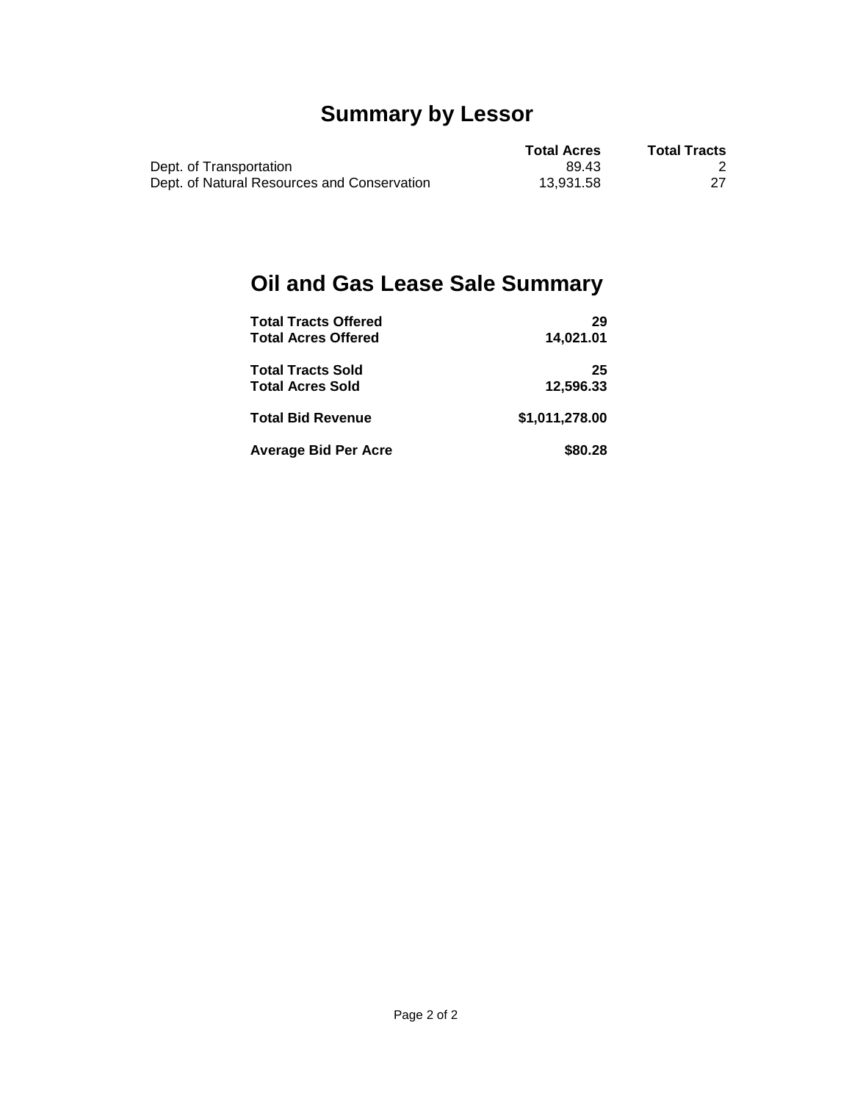## **Summary by Lessor**

|                                             | <b>Total Acres</b> | <b>Total Tracts</b> |
|---------------------------------------------|--------------------|---------------------|
| Dept. of Transportation                     | 89.43              |                     |
| Dept. of Natural Resources and Conservation | 13.931.58          |                     |

## **Oil and Gas Lease Sale Summary**

| <b>Total Tracts Offered</b> | 29             |
|-----------------------------|----------------|
| <b>Total Acres Offered</b>  | 14.021.01      |
| <b>Total Tracts Sold</b>    | 25             |
| <b>Total Acres Sold</b>     | 12.596.33      |
| <b>Total Bid Revenue</b>    | \$1,011,278.00 |
| <b>Average Bid Per Acre</b> | \$80.28        |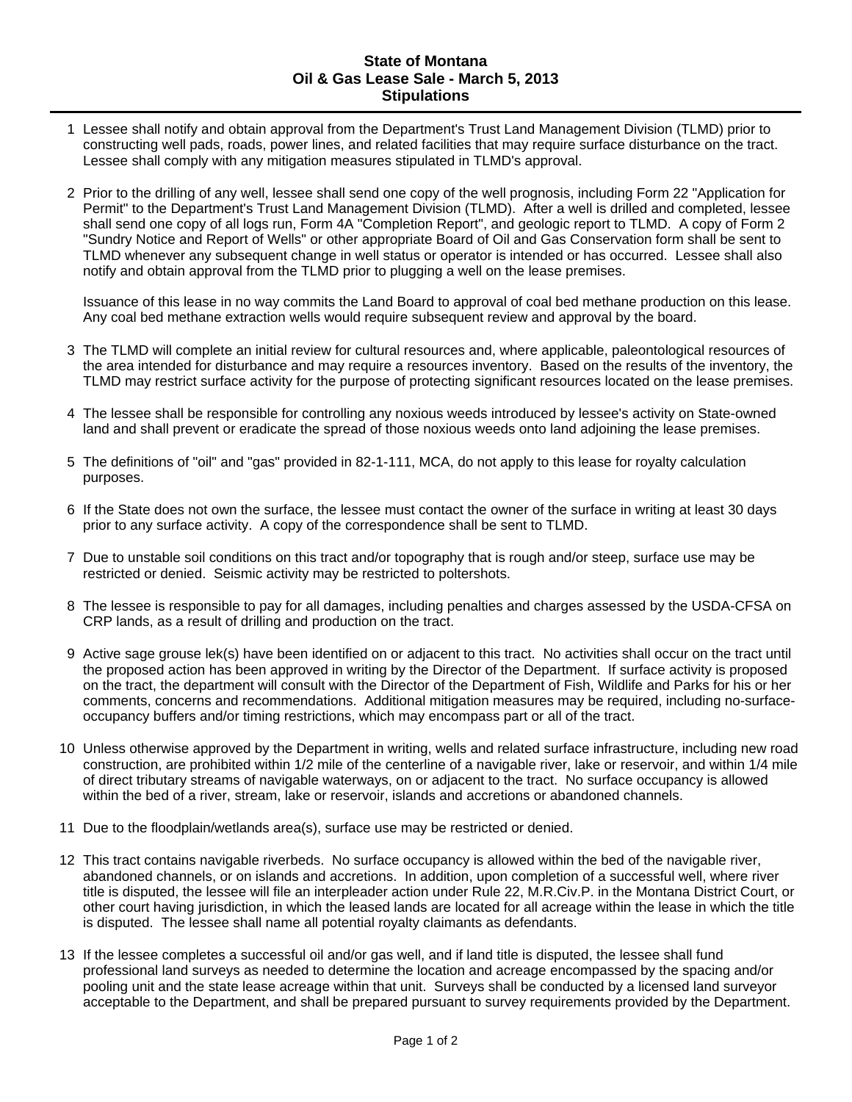## **State of Montana Oil & Gas Lease Sale - March 5, 2013 Stipulations**

- 1 Lessee shall notify and obtain approval from the Department's Trust Land Management Division (TLMD) prior to constructing well pads, roads, power lines, and related facilities that may require surface disturbance on the tract. Lessee shall comply with any mitigation measures stipulated in TLMD's approval.
- 2 Prior to the drilling of any well, lessee shall send one copy of the well prognosis, including Form 22 "Application for Permit" to the Department's Trust Land Management Division (TLMD). After a well is drilled and completed, lessee shall send one copy of all logs run, Form 4A "Completion Report", and geologic report to TLMD. A copy of Form 2 "Sundry Notice and Report of Wells" or other appropriate Board of Oil and Gas Conservation form shall be sent to TLMD whenever any subsequent change in well status or operator is intended or has occurred. Lessee shall also notify and obtain approval from the TLMD prior to plugging a well on the lease premises.

Issuance of this lease in no way commits the Land Board to approval of coal bed methane production on this lease. Any coal bed methane extraction wells would require subsequent review and approval by the board.

- 3 The TLMD will complete an initial review for cultural resources and, where applicable, paleontological resources of the area intended for disturbance and may require a resources inventory. Based on the results of the inventory, the TLMD may restrict surface activity for the purpose of protecting significant resources located on the lease premises.
- 4 The lessee shall be responsible for controlling any noxious weeds introduced by lessee's activity on State-owned land and shall prevent or eradicate the spread of those noxious weeds onto land adjoining the lease premises.
- 5 The definitions of "oil" and "gas" provided in 82-1-111, MCA, do not apply to this lease for royalty calculation purposes.
- 6 If the State does not own the surface, the lessee must contact the owner of the surface in writing at least 30 days prior to any surface activity. A copy of the correspondence shall be sent to TLMD.
- 7 Due to unstable soil conditions on this tract and/or topography that is rough and/or steep, surface use may be restricted or denied. Seismic activity may be restricted to poltershots.
- 8 The lessee is responsible to pay for all damages, including penalties and charges assessed by the USDA-CFSA on CRP lands, as a result of drilling and production on the tract.
- 9 Active sage grouse lek(s) have been identified on or adjacent to this tract. No activities shall occur on the tract until the proposed action has been approved in writing by the Director of the Department. If surface activity is proposed on the tract, the department will consult with the Director of the Department of Fish, Wildlife and Parks for his or her comments, concerns and recommendations. Additional mitigation measures may be required, including no-surfaceoccupancy buffers and/or timing restrictions, which may encompass part or all of the tract.
- 10 Unless otherwise approved by the Department in writing, wells and related surface infrastructure, including new road construction, are prohibited within 1/2 mile of the centerline of a navigable river, lake or reservoir, and within 1/4 mile of direct tributary streams of navigable waterways, on or adjacent to the tract. No surface occupancy is allowed within the bed of a river, stream, lake or reservoir, islands and accretions or abandoned channels.
- 11 Due to the floodplain/wetlands area(s), surface use may be restricted or denied.
- 12 This tract contains navigable riverbeds. No surface occupancy is allowed within the bed of the navigable river, abandoned channels, or on islands and accretions. In addition, upon completion of a successful well, where river title is disputed, the lessee will file an interpleader action under Rule 22, M.R.Civ.P. in the Montana District Court, or other court having jurisdiction, in which the leased lands are located for all acreage within the lease in which the title is disputed. The lessee shall name all potential royalty claimants as defendants.
- 13 If the lessee completes a successful oil and/or gas well, and if land title is disputed, the lessee shall fund professional land surveys as needed to determine the location and acreage encompassed by the spacing and/or pooling unit and the state lease acreage within that unit. Surveys shall be conducted by a licensed land surveyor acceptable to the Department, and shall be prepared pursuant to survey requirements provided by the Department.